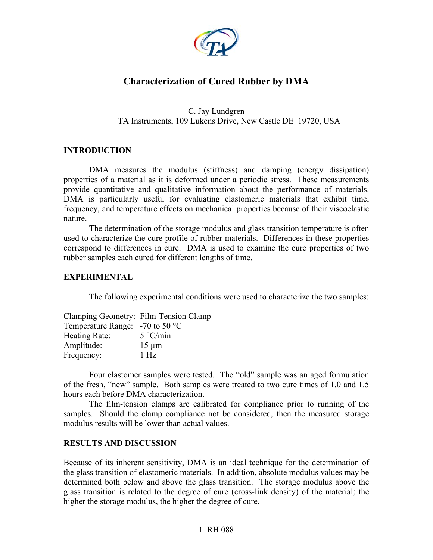

# **Characterization of Cured Rubber by DMA**

C. Jay Lundgren TA Instruments, 109 Lukens Drive, New Castle DE 19720, USA

### **INTRODUCTION**

DMA measures the modulus (stiffness) and damping (energy dissipation) properties of a material as it is deformed under a periodic stress. These measurements provide quantitative and qualitative information about the performance of materials. DMA is particularly useful for evaluating elastomeric materials that exhibit time, frequency, and temperature effects on mechanical properties because of their viscoelastic nature.

The determination of the storage modulus and glass transition temperature is often used to characterize the cure profile of rubber materials. Differences in these properties correspond to differences in cure. DMA is used to examine the cure properties of two rubber samples each cured for different lengths of time.

### **EXPERIMENTAL**

The following experimental conditions were used to characterize the two samples:

| Clamping Geometry: Film-Tension Clamp |                   |
|---------------------------------------|-------------------|
| Temperature Range: $-70$ to 50 °C     |                   |
| Heating Rate:                         | $5^{\circ}$ C/min |
| Amplitude:                            | $15 \mu m$        |
| Frequency:                            | $1$ Hz            |

Four elastomer samples were tested. The "old" sample was an aged formulation of the fresh, "new" sample. Both samples were treated to two cure times of 1.0 and 1.5 hours each before DMA characterization.

The film-tension clamps are calibrated for compliance prior to running of the samples. Should the clamp compliance not be considered, then the measured storage modulus results will be lower than actual values.

### **RESULTS AND DISCUSSION**

Because of its inherent sensitivity, DMA is an ideal technique for the determination of the glass transition of elastomeric materials. In addition, absolute modulus values may be determined both below and above the glass transition. The storage modulus above the glass transition is related to the degree of cure (cross-link density) of the material; the higher the storage modulus, the higher the degree of cure.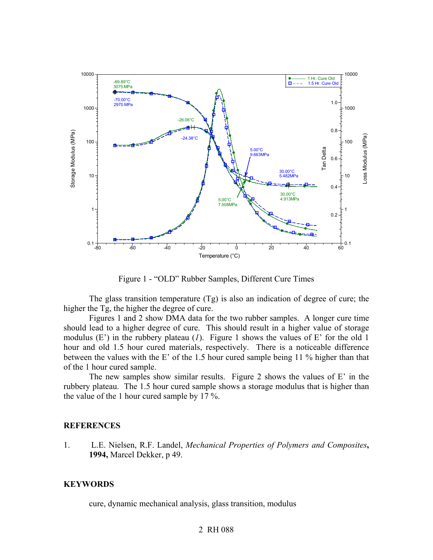

Figure 1 - "OLD" Rubber Samples, Different Cure Times

The glass transition temperature (Tg) is also an indication of degree of cure; the higher the Tg, the higher the degree of cure.

Figures 1 and 2 show DMA data for the two rubber samples. A longer cure time should lead to a higher degree of cure. This should result in a higher value of storage modulus (E') in the rubbery plateau (*1*). Figure 1 shows the values of E' for the old 1 hour and old 1.5 hour cured materials, respectively. There is a noticeable difference between the values with the E' of the 1.5 hour cured sample being 11 % higher than that of the 1 hour cured sample.

The new samples show similar results. Figure 2 shows the values of E' in the rubbery plateau. The 1.5 hour cured sample shows a storage modulus that is higher than the value of the 1 hour cured sample by 17 %.

#### **REFERENCES**

1. L.E. Nielsen, R.F. Landel, *Mechanical Properties of Polymers and Composites***, 1994,** Marcel Dekker, p 49.

### **KEYWORDS**

cure, dynamic mechanical analysis, glass transition, modulus

## 2 RH 088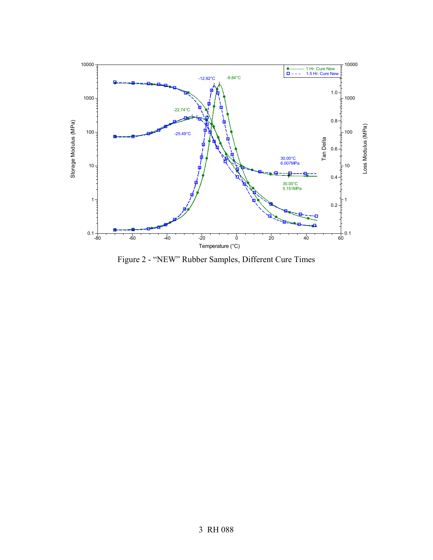

Figure 2 - "NEW" Rubber Samples, Different Cure Times